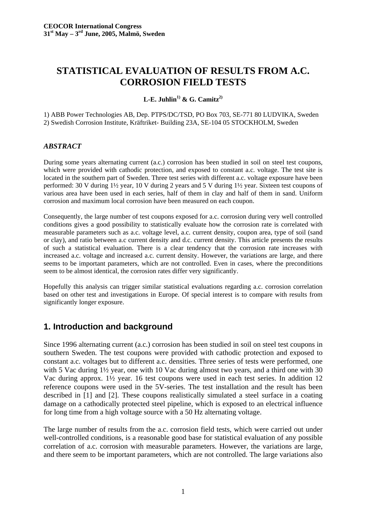# **STATISTICAL EVALUATION OF RESULTS FROM A.C. CORROSION FIELD TESTS**

**L-E.** Juhlin<sup>1)</sup> & G. Camitz<sup>2)</sup>

1) ABB Power Technologies AB, Dep. PTPS/DC/TSD, PO Box 703, SE-771 80 LUDVIKA, Sweden 2) Swedish Corrosion Institute, Kräftriket- Building 23A, SE-104 05 STOCKHOLM, Sweden

#### *ABSTRACT*

During some years alternating current (a.c.) corrosion has been studied in soil on steel test coupons, which were provided with cathodic protection, and exposed to constant a.c. voltage. The test site is located in the southern part of Sweden. Three test series with different a.c. voltage exposure have been performed: 30 V during 1½ year, 10 V during 2 years and 5 V during 1½ year. Sixteen test coupons of various area have been used in each series, half of them in clay and half of them in sand. Uniform corrosion and maximum local corrosion have been measured on each coupon.

Consequently, the large number of test coupons exposed for a.c. corrosion during very well controlled conditions gives a good possibility to statistically evaluate how the corrosion rate is correlated with measurable parameters such as a.c. voltage level, a.c. current density, coupon area, type of soil (sand or clay), and ratio between a.c current density and d.c. current density. This article presents the results of such a statistical evaluation. There is a clear tendency that the corrosion rate increases with increased a.c. voltage and increased a.c. current density. However, the variations are large, and there seems to be important parameters, which are not controlled. Even in cases, where the preconditions seem to be almost identical, the corrosion rates differ very significantly.

Hopefully this analysis can trigger similar statistical evaluations regarding a.c. corrosion correlation based on other test and investigations in Europe. Of special interest is to compare with results from significantly longer exposure.

## **1. Introduction and background**

Since 1996 alternating current (a.c.) corrosion has been studied in soil on steel test coupons in southern Sweden. The test coupons were provided with cathodic protection and exposed to constant a.c. voltages but to different a.c. densities. Three series of tests were performed, one with 5 Vac during  $1\frac{1}{2}$  year, one with 10 Vac during almost two years, and a third one with 30 Vac during approx. 1½ year. 16 test coupons were used in each test series. In addition 12 reference coupons were used in the 5V-series. The test installation and the result has been described in [1] and [2]. These coupons realistically simulated a steel surface in a coating damage on a cathodically protected steel pipeline, which is exposed to an electrical influence for long time from a high voltage source with a 50 Hz alternating voltage.

The large number of results from the a.c. corrosion field tests, which were carried out under well-controlled conditions, is a reasonable good base for statistical evaluation of any possible correlation of a.c. corrosion with measurable parameters. However, the variations are large, and there seem to be important parameters, which are not controlled. The large variations also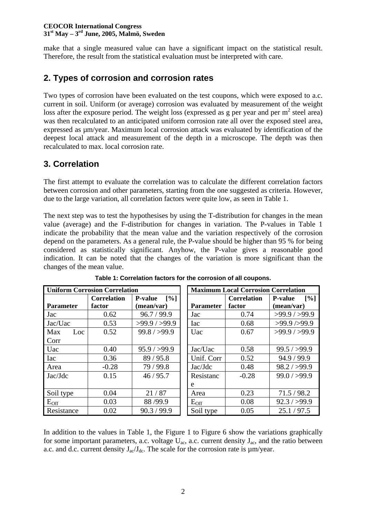make that a single measured value can have a significant impact on the statistical result. Therefore, the result from the statistical evaluation must be interpreted with care.

# **2. Types of corrosion and corrosion rates**

Two types of corrosion have been evaluated on the test coupons, which were exposed to a.c. current in soil. Uniform (or average) corrosion was evaluated by measurement of the weight loss after the exposure period. The weight loss (expressed as g per year and per  $m<sup>2</sup>$  steel area) was then recalculated to an anticipated uniform corrosion rate all over the exposed steel area, expressed as µm/year. Maximum local corrosion attack was evaluated by identification of the deepest local attack and measurement of the depth in a microscope. The depth was then recalculated to max. local corrosion rate.

# **3. Correlation**

The first attempt to evaluate the correlation was to calculate the different correlation factors between corrosion and other parameters, starting from the one suggested as criteria. However, due to the large variation, all correlation factors were quite low, as seen in Table 1.

The next step was to test the hypothesises by using the T-distribution for changes in the mean value (average) and the F-distribution for changes in variation. The P-values in Table 1 indicate the probability that the mean value and the variation respectively of the corrosion depend on the parameters. As a general rule, the P-value should be higher than 95 % for being considered as statistically significant. Anyhow, the P-value gives a reasonable good indication. It can be noted that the changes of the variation is more significant than the changes of the mean value.

|                  | <b>Uniform Corrosion Correlation</b> |                       |                  | <b>Maximum Local Corrosion Correlation</b> |                                     |
|------------------|--------------------------------------|-----------------------|------------------|--------------------------------------------|-------------------------------------|
|                  | <b>Correlation</b>                   | [%]<br><b>P-value</b> |                  | <b>Correlation</b>                         | <b>P-value</b><br>$\lceil\% \rceil$ |
| <b>Parameter</b> | factor                               | (mean/var)            | <b>Parameter</b> | factor                                     | (mean/var)                          |
| Jac              | 0.62                                 | 96.7 / 99.9           | Jac              | 0.74                                       | $>99.9$ / $>99.9$                   |
| Jac/Uac          | 0.53                                 | $>99.9$ / $>99.9$     | <b>Iac</b>       | 0.68                                       | $>99.9$ / $>99.9$                   |
| Max<br>Loc       | 0.52                                 | 99.8 / > 99.9         | Uac              | 0.67                                       | >99.9 / >99.9                       |
| Corr             |                                      |                       |                  |                                            |                                     |
| Uac              | 0.40                                 | 95.9 / > 99.9         | Jac/Uac          | 0.58                                       | 99.5 / > 99.9                       |
| <b>Iac</b>       | 0.36                                 | 89/95.8               | Unif. Corr       | 0.52                                       | 94.9 / 99.9                         |
| Area             | $-0.28$                              | 79/99.8               | Jac/Jdc          | 0.48                                       | 98.2 / > 99.9                       |
| Jac/Jdc          | 0.15                                 | 46/95.7               | Resistanc        | $-0.28$                                    | 99.0 / > 99.9                       |
|                  |                                      |                       | e                |                                            |                                     |
| Soil type        | 0.04                                 | 21/87                 | Area             | 0.23                                       | 71.5/98.2                           |
| $E_{\rm Off}$    | 0.03                                 | 88/99.9               | $E_{\rm Off}$    | 0.08                                       | 92.3 / > 99.9                       |
| Resistance       | 0.02                                 | 90.3 / 99.9           | Soil type        | 0.05                                       | 25.1/97.5                           |

**Table 1: Correlation factors for the corrosion of all coupons.** 

In addition to the values in Table 1, the Figure 1 to Figure 6 show the variations graphically for some important parameters, a.c. voltage  $U_{ac}$ , a.c. current density  $J_{ac}$ , and the ratio between a.c. and d.c. current density  $J_{ac}/J_{dc}$ . The scale for the corrosion rate is  $\mu$ m/year.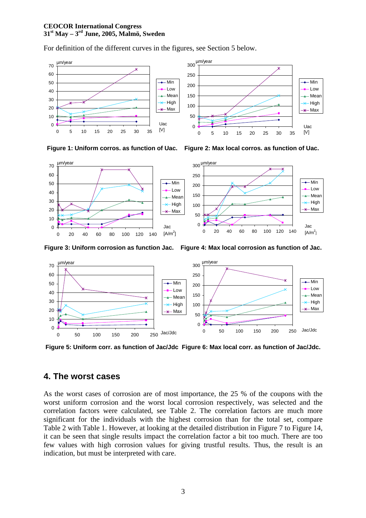For definition of the different curves in the figures, see Section 5 below.





**Figure 1: Uniform corros. as function of Uac. Figure 2: Max local corros. as function of Uac.** 





**Figure 5: Uniform corr. as function of Jac/Jdc Figure 6: Max local corr. as function of Jac/Jdc.** 

### **4. The worst cases**

As the worst cases of corrosion are of most importance, the 25 % of the coupons with the worst uniform corrosion and the worst local corrosion respectively, was selected and the correlation factors were calculated, see Table 2. The correlation factors are much more significant for the individuals with the highest corrosion than for the total set, compare Table 2 with Table 1. However, at looking at the detailed distribution in Figure 7 to Figure 14, it can be seen that single results impact the correlation factor a bit too much. There are too few values with high corrosion values for giving trustful results. Thus, the result is an indication, but must be interpreted with care.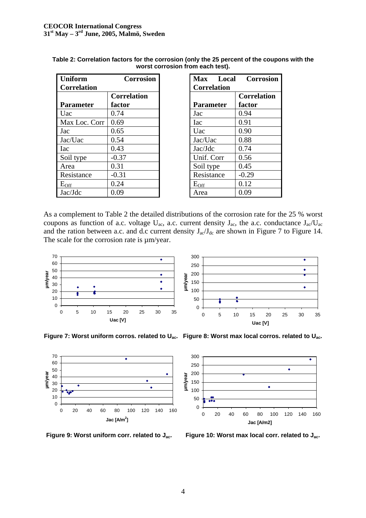| <b>Uniform</b><br><b>Corrosion</b> |                    | <b>Max</b>       | Local | Co      |
|------------------------------------|--------------------|------------------|-------|---------|
| <b>Correlation</b>                 | <b>Correlation</b> |                  |       |         |
|                                    | <b>Correlation</b> |                  |       | Corre   |
| <b>Parameter</b>                   | factor             | <b>Parameter</b> |       | factor  |
| Uac                                | 0.74               | Jac              |       | 0.94    |
| Max Loc. Corr                      | 0.69               | <b>Iac</b>       |       | 0.91    |
| Jac                                | 0.65               | Uac              |       | 0.90    |
| Jac/Uac                            | 0.54               | Jac/Uac          |       | 0.88    |
| <b>I</b> ac                        | 0.43               | Jac/Jdc          |       | 0.74    |
| Soil type                          | $-0.37$            | Unif. Corr       |       | 0.56    |
| Area                               | 0.31               | Soil type        |       | 0.45    |
| Resistance                         | $-0.31$            | Resistance       |       | $-0.29$ |
| $E_{\text{Off}}$                   | 0.24               | $E_{\rm Off}$    |       | 0.12    |
| Jac/Jdc                            | 0.09               | Area             |       | 0.09    |

| Table 2: Correlation factors for the corrosion (only the 25 percent of the coupons with the |
|---------------------------------------------------------------------------------------------|
| worst corrosion from each test).                                                            |

|                    | Max Local Corrosion |
|--------------------|---------------------|
| <b>Correlation</b> |                     |
|                    | <b>Correlation</b>  |
| <b>Parameter</b>   | factor              |
| Jac                | 0.94                |
| Iac                | 0.91                |
| Uac                | 0.90                |
| Jac/Uac            | 0.88                |
| Jac/Jdc            | 0.74                |
| Unif. Corr         | 0.56                |
| Soil type          | 0.45                |
| Resistance         | $-0.29$             |
| $E_{\rm Off}$      | 0.12                |
| Area               | 0.09                |

As a complement to Table 2 the detailed distributions of the corrosion rate for the 25 % worst coupons as function of a.c. voltage  $U_{ac}$ , a.c. current density  $J_{ac}$ , the a.c. conductance  $J_{ac}/U_{ac}$ and the ration between a.c. and d.c current density  $J_{ac}/J_{dc}$  are shown in Figure 7 to Figure 14. The scale for the corrosion rate is  $\mu$ m/year.











Figure 9: Worst uniform corr. related to J<sub>ac</sub>. Figure 10: Worst max local corr. related to J<sub>ac</sub>.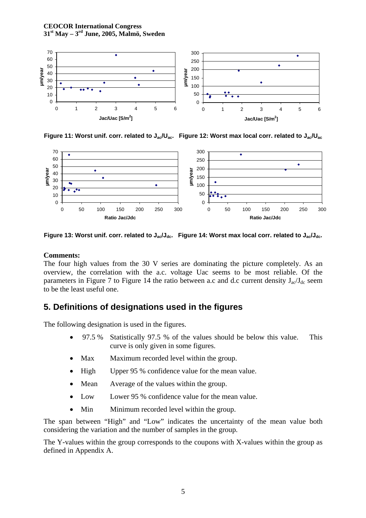

Figure 11: Worst unif. corr. related to J<sub>ac</sub>/U<sub>ac</sub>. Figure 12: Worst max local corr. related to J<sub>ac</sub>/U<sub>ac</sub>



Figure 13: Worst unif. corr. related to J<sub>ac</sub>/J<sub>dc</sub>. Figure 14: Worst max local corr. related to J<sub>ac</sub>/J<sub>dc</sub>.

### **Comments:**

The four high values from the 30 V series are dominating the picture completely. As an overview, the correlation with the a.c. voltage Uac seems to be most reliable. Of the parameters in Figure 7 to Figure 14 the ratio between a.c and d.c current density  $J_{ac}/J_{dc}$  seem to be the least useful one.

## **5. Definitions of designations used in the figures**

The following designation is used in the figures.

- 97.5 % Statistically 97.5 % of the values should be below this value. This curve is only given in some figures.
- Max Maximum recorded level within the group.
- High Upper 95 % confidence value for the mean value.
- Mean Average of the values within the group.
- Low Lower 95 % confidence value for the mean value.
- Min Minimum recorded level within the group.

The span between "High" and "Low" indicates the uncertainty of the mean value both considering the variation and the number of samples in the group.

The Y-values within the group corresponds to the coupons with X-values within the group as defined in Appendix A.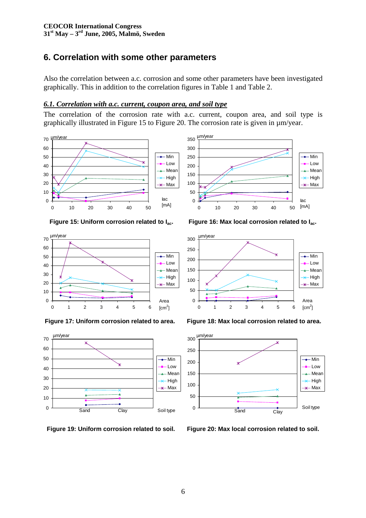## **6. Correlation with some other parameters**

Also the correlation between a.c. corrosion and some other parameters have been investigated graphically. This in addition to the correlation figures in Table 1 and Table 2.

#### *6.1. Correlation with a.c. current, coupon area, and soil type*

The correlation of the corrosion rate with a.c. current, coupon area, and soil type is graphically illustrated in Figure 15 to Figure 20. The corrosion rate is given in µm/year.

µm/year







 $\Omega$ 50 100 150 0 10 20 30 40 50 Mean High Max Iac [mA]

Min Low

Figure 15: Uniform corrosion related to I<sub>ac</sub>. Figure 16: Max local corrosion related to I<sub>ac</sub>.



**Figure 17: Uniform corrosion related to area. Figure 18: Max local corrosion related to area.** 



**Figure 19: Uniform corrosion related to soil. Figure 20: Max local corrosion related to soil.**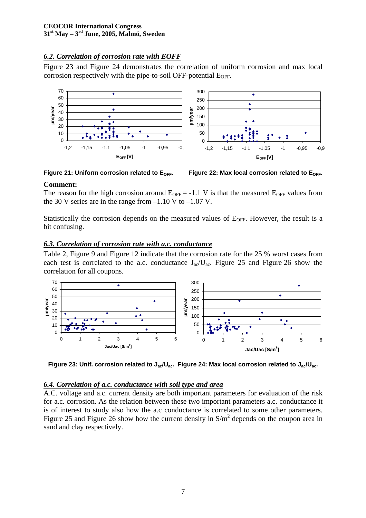### *6.2. Correlation of corrosion rate with EOFF*

Figure 23 and Figure 24 demonstrates the correlation of uniform corrosion and max local corrosion respectively with the pipe-to-soil OFF-potential  $E_{\text{OFF}}$ .



Figure 21: Uniform corrosion related to E<sub>OFF</sub>. Figure 22: Max local corrosion related to E<sub>OFF</sub>.

#### **Comment:**

The reason for the high corrosion around  $E_{OFF} = -1.1$  V is that the measured  $E_{OFF}$  values from the 30 V series are in the range from  $-1.10$  V to  $-1.07$  V.

Statistically the corrosion depends on the measured values of  $E_{OFF}$ . However, the result is a bit confusing.

### *6.3. Correlation of corrosion rate with a.c. conductance*

Table 2, Figure 9 and Figure 12 indicate that the corrosion rate for the 25 % worst cases from each test is correlated to the a.c. conductance  $J_{ac}/U_{ac}$ . Figure 25 and Figure 26 show the correlation for all coupons.



Figure 23: Unif. corrosion related to J<sub>ac</sub>/U<sub>ac</sub>. Figure 24: Max local corrosion related to J<sub>ac</sub>/U<sub>ac</sub>.

### *6.4. Correlation of a.c. conductance with soil type and area*

A.C. voltage and a.c. current density are both important parameters for evaluation of the risk for a.c. corrosion. As the relation between these two important parameters a.c. conductance it is of interest to study also how the a.c conductance is correlated to some other parameters. Figure 25 and Figure 26 show how the current density in  $S/m^2$  depends on the coupon area in sand and clay respectively.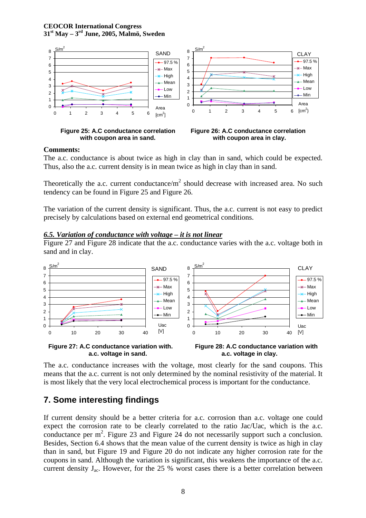





#### **Comments:**

The a.c. conductance is about twice as high in clay than in sand, which could be expected. Thus, also the a.c. current density is in mean twice as high in clay than in sand.

Theoretically the a.c. current conductance/ $m^2$  should decrease with increased area. No such tendency can be found in Figure 25 and Figure 26.

The variation of the current density is significant. Thus, the a.c. current is not easy to predict precisely by calculations based on external end geometrical conditions.

#### *6.5. Variation of conductance with voltage – it is not linear*

Figure 27 and Figure 28 indicate that the a.c. conductance varies with the a.c. voltage both in sand and in clay.



The a.c. conductance increases with the voltage, most clearly for the sand coupons. This means that the a.c. current is not only determined by the nominal resistivity of the material. It is most likely that the very local electrochemical process is important for the conductance.

## **7. Some interesting findings**

If current density should be a better criteria for a.c. corrosion than a.c. voltage one could expect the corrosion rate to be clearly correlated to the ratio Jac/Uac, which is the a.c. conductance per  $m^2$ . Figure 23 and Figure 24 do not necessarily support such a conclusion. Besides, Section 6.4 shows that the mean value of the current density is twice as high in clay than in sand, but Figure 19 and Figure 20 do not indicate any higher corrosion rate for the coupons in sand. Although the variation is significant, this weakens the importance of the a.c. current density  $J_{ac}$ . However, for the 25 % worst cases there is a better correlation between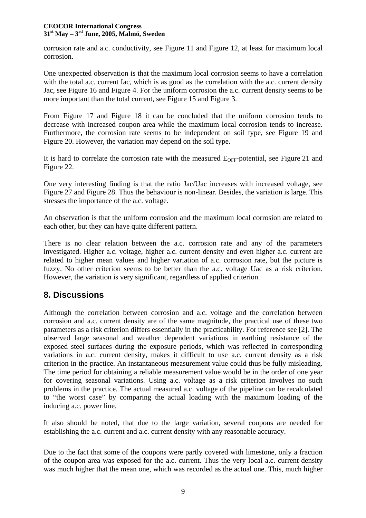corrosion rate and a.c. conductivity, see Figure 11 and Figure 12, at least for maximum local corrosion.

One unexpected observation is that the maximum local corrosion seems to have a correlation with the total a.c. current Iac, which is as good as the correlation with the a.c. current density Jac, see Figure 16 and Figure 4. For the uniform corrosion the a.c. current density seems to be more important than the total current, see Figure 15 and Figure 3.

From Figure 17 and Figure 18 it can be concluded that the uniform corrosion tends to decrease with increased coupon area while the maximum local corrosion tends to increase. Furthermore, the corrosion rate seems to be independent on soil type, see Figure 19 and Figure 20. However, the variation may depend on the soil type.

It is hard to correlate the corrosion rate with the measured  $E_{\text{OFF}}$ -potential, see Figure 21 and Figure 22.

One very interesting finding is that the ratio Jac/Uac increases with increased voltage, see Figure 27 and Figure 28. Thus the behaviour is non-linear. Besides, the variation is large. This stresses the importance of the a.c. voltage.

An observation is that the uniform corrosion and the maximum local corrosion are related to each other, but they can have quite different pattern.

There is no clear relation between the a.c. corrosion rate and any of the parameters investigated. Higher a.c. voltage, higher a.c. current density and even higher a.c. current are related to higher mean values and higher variation of a.c. corrosion rate, but the picture is fuzzy. No other criterion seems to be better than the a.c. voltage Uac as a risk criterion. However, the variation is very significant, regardless of applied criterion.

## **8. Discussions**

Although the correlation between corrosion and a.c. voltage and the correlation between corrosion and a.c. current density are of the same magnitude, the practical use of these two parameters as a risk criterion differs essentially in the practicability. For reference see [2]. The observed large seasonal and weather dependent variations in earthing resistance of the exposed steel surfaces during the exposure periods, which was reflected in corresponding variations in a.c. current density, makes it difficult to use a.c. current density as a risk criterion in the practice. An instantaneous measurement value could thus be fully misleading. The time period for obtaining a reliable measurement value would be in the order of one year for covering seasonal variations. Using a.c. voltage as a risk criterion involves no such problems in the practice. The actual measured a.c. voltage of the pipeline can be recalculated to "the worst case" by comparing the actual loading with the maximum loading of the inducing a.c. power line.

It also should be noted, that due to the large variation, several coupons are needed for establishing the a.c. current and a.c. current density with any reasonable accuracy.

Due to the fact that some of the coupons were partly covered with limestone, only a fraction of the coupon area was exposed for the a.c. current. Thus the very local a.c. current density was much higher that the mean one, which was recorded as the actual one. This, much higher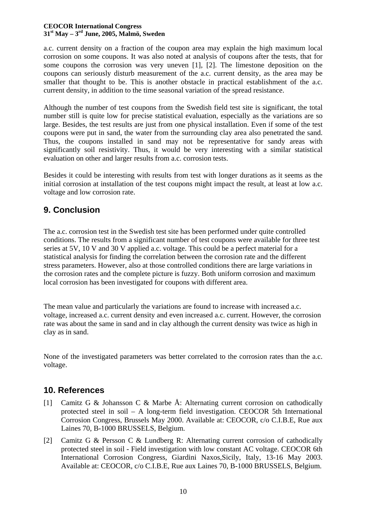a.c. current density on a fraction of the coupon area may explain the high maximum local corrosion on some coupons. It was also noted at analysis of coupons after the tests, that for some coupons the corrosion was very uneven [1], [2]. The limestone deposition on the coupons can seriously disturb measurement of the a.c. current density, as the area may be smaller that thought to be. This is another obstacle in practical establishment of the a.c. current density, in addition to the time seasonal variation of the spread resistance.

Although the number of test coupons from the Swedish field test site is significant, the total number still is quite low for precise statistical evaluation, especially as the variations are so large. Besides, the test results are just from one physical installation. Even if some of the test coupons were put in sand, the water from the surrounding clay area also penetrated the sand. Thus, the coupons installed in sand may not be representative for sandy areas with significantly soil resistivity. Thus, it would be very interesting with a similar statistical evaluation on other and larger results from a.c. corrosion tests.

Besides it could be interesting with results from test with longer durations as it seems as the initial corrosion at installation of the test coupons might impact the result, at least at low a.c. voltage and low corrosion rate.

## **9. Conclusion**

The a.c. corrosion test in the Swedish test site has been performed under quite controlled conditions. The results from a significant number of test coupons were available for three test series at 5V, 10 V and 30 V applied a.c. voltage. This could be a perfect material for a statistical analysis for finding the correlation between the corrosion rate and the different stress parameters. However, also at those controlled conditions there are large variations in the corrosion rates and the complete picture is fuzzy. Both uniform corrosion and maximum local corrosion has been investigated for coupons with different area.

The mean value and particularly the variations are found to increase with increased a.c. voltage, increased a.c. current density and even increased a.c. current. However, the corrosion rate was about the same in sand and in clay although the current density was twice as high in clay as in sand.

None of the investigated parameters was better correlated to the corrosion rates than the a.c. voltage.

## **10. References**

- [1] Camitz G & Johansson C & Marbe Å: Alternating current corrosion on cathodically protected steel in soil – A long-term field investigation. CEOCOR 5th International Corrosion Congress, Brussels May 2000. Available at: CEOCOR, c/o C.I.B.E, Rue aux Laines 70, B-1000 BRUSSELS, Belgium.
- [2] Camitz G & Persson C & Lundberg R: Alternating current corrosion of cathodically protected steel in soil - Field investigation with low constant AC voltage. CEOCOR 6th International Corrosion Congress, Giardini Naxos,Sicily, Italy, 13-16 May 2003. Available at: CEOCOR, c/o C.I.B.E, Rue aux Laines 70, B-1000 BRUSSELS, Belgium.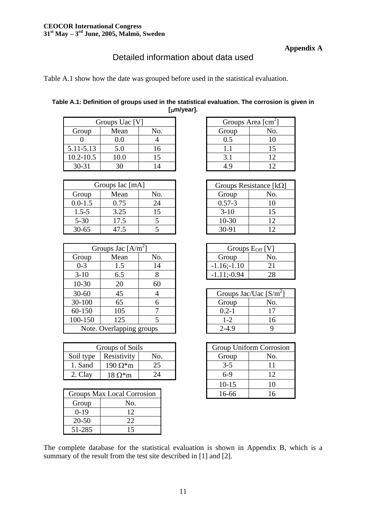# Detailed information about data used

Table A.1 show how the date was grouped before used in the statistical evaluation.

| Table A.1: Definition of groups used in the statistical evaluation. The corrosion is given in |  |
|-----------------------------------------------------------------------------------------------|--|
| [µm/year].                                                                                    |  |

|               | Groups Uac [V] |     |       | Groups Area $\text{[cm}^2$ |
|---------------|----------------|-----|-------|----------------------------|
| Group         | Mean           | No. | Group | No.                        |
|               | 0.0            |     |       |                            |
| 5.11-5.13     | 5.0            | 16  |       |                            |
| $10.2 - 10.5$ | 10.0           |     |       |                            |
| $30 - 31$     |                |     |       |                            |

|             | Groups Iac [mA] |     | Groups Resistance [k] |     |
|-------------|-----------------|-----|-----------------------|-----|
| Group       | Mean            | No. | Group                 | No. |
| $0.0 - 1.5$ | 0.75            | 24  | $0.57 - 3$            |     |
| $1.5 - 5$   | 3.25            | 15  | $3-10$                |     |
| $5 - 30$    | 17.5            |     | $10-30$               |     |
| $30 - 65$   |                 |     | $30-91$               |     |

| Groups Jac $[A/m^2]$     |      |           |                          | Groups $E_{Off}$ [V] |  |
|--------------------------|------|-----------|--------------------------|----------------------|--|
| Group                    | Mean | No.       | Group                    | No.                  |  |
| $0 - 3$                  | 1.5  | 14        | $-1.16; -1.10$           | 21                   |  |
| $3-10$                   | 6.5  | 8         | $-1.11; -0.94$           | 28                   |  |
| $10-30$                  | 20   | 60        |                          |                      |  |
| $30 - 60$                | 45   |           | Groups Jac/Uac $[S/m^2]$ |                      |  |
| 30-100                   | 65   | 6         | Group                    | No.                  |  |
| 60-150                   | 105  |           | $0.2 - 1$                | 17                   |  |
| 100-150                  | 125  |           | $1 - 2$                  | 16                   |  |
| Note. Overlapping groups |      | $2 - 4.9$ |                          |                      |  |

|           | Groups of Soils    |     | <b>Group Uniform Corros</b> |     |
|-----------|--------------------|-----|-----------------------------|-----|
| Soil type | <b>Resistivity</b> | ŃО. | Group                       | NO. |
| 1. Sand   | 190 Ω*m            |     | $3-5$                       |     |
| 2. Clay   | 18 Ω*m             |     | 6-ዓ                         |     |

|           | Groups Max Local Corrosion | 16-66 |  |
|-----------|----------------------------|-------|--|
| Group     | No.                        |       |  |
| $0-19$    |                            |       |  |
| $20 - 50$ |                            |       |  |
| 51-285    |                            |       |  |

| Groups Area $\text{[cm}^2$ |    |  |  |  |
|----------------------------|----|--|--|--|
| Group<br>No.               |    |  |  |  |
| 0.5                        | 10 |  |  |  |
| 11                         | 15 |  |  |  |
| 3.1                        | 12 |  |  |  |
|                            | 12 |  |  |  |

| Groups Iac [mA] |     |            | Groups Resistance [ $k\Omega$ ] |
|-----------------|-----|------------|---------------------------------|
| Mean            | No. | Group      | No.                             |
| 0.75            |     | $0.57 - 3$ |                                 |
| 3.25            |     | $3-10$     |                                 |
| 17.5            |     | $10-30$    |                                 |
|                 |     | $30-91$    |                                 |

|     | Groups $E_{Off}$ [V] |     |  |  |  |  |  |
|-----|----------------------|-----|--|--|--|--|--|
| No. | Group                | No. |  |  |  |  |  |
|     | $-1.16; -1.10$       |     |  |  |  |  |  |
|     | $-1.11; -0.94$       |     |  |  |  |  |  |

| Groups Jac/Uac $[S/m^2]$ |     |  |  |  |  |  |
|--------------------------|-----|--|--|--|--|--|
| Group                    | No. |  |  |  |  |  |
| $0.2 - 1$                |     |  |  |  |  |  |
| $1-2$                    | 16  |  |  |  |  |  |
| $2 - 4.9$                |     |  |  |  |  |  |

|            | Groups of Soils         |     |       | Group Uniform Corrosion |     |  |
|------------|-------------------------|-----|-------|-------------------------|-----|--|
| type       | Resistivity             | No. |       | Group                   | No. |  |
| and        | $190 \Omega^*$ m        | 25  |       | $3 - 5$                 |     |  |
| <b>lay</b> | $18 \Omega^*$ m         | 24  |       | $6-9$                   |     |  |
|            |                         |     |       | $10-15$                 |     |  |
|            | ups Max Local Corrosion |     | 16-66 |                         |     |  |

The complete database for the statistical evaluation is shown in Appendix B, which is a summary of the result from the test site described in [1] and [2].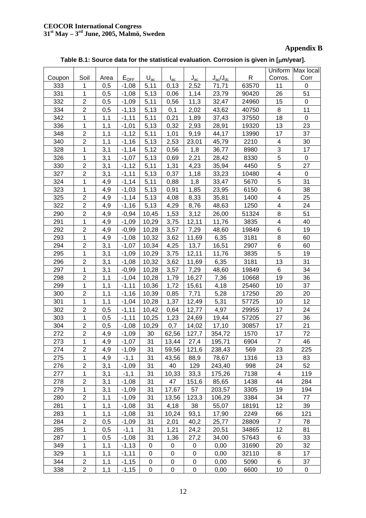### **Appendix B**

|        |                |      |           |             |          |                      |                         |       |                         | Uniform Max local |
|--------|----------------|------|-----------|-------------|----------|----------------------|-------------------------|-------|-------------------------|-------------------|
| Coupon | Soil           | Area | $E_{OEF}$ | $U_{ac}$    | $I_{ac}$ | $J_{\underline{ac}}$ | $J_{\rm ac}/J_{\rm dc}$ | R     | Corros.                 | Corr              |
| 333    | 1              | 0,5  | $-1,08$   | 5,11        | 0,13     | 2,52                 | 71,71                   | 63570 | 11                      | 0                 |
| 331    | 1              | 0,5  | $-1,08$   | 5,13        | 0,06     | 1,14                 | 23,79                   | 90420 | 26                      | 51                |
| 332    | $\overline{2}$ | 0,5  | $-1,09$   | 5,11        | 0,56     | 11,3                 | 32,47                   | 24960 | 15                      | 0                 |
| 334    | $\overline{2}$ | 0,5  | $-1,13$   | 5,13        | 0,1      | 2,02                 | 43,62                   | 40750 | 8                       | 11                |
| 342    | 1              | 1,1  | $-1,11$   | 5,11        | 0,21     | 1,89                 | 37,43                   | 37550 | 18                      | $\mathbf 0$       |
| 336    | 1              | 1,1  | $-1,01$   | 5,13        | 0,32     | 2,93                 | 28,91                   | 19320 | 13                      | 23                |
| 348    | $\overline{2}$ | 1,1  | $-1,12$   | 5,11        | 1,01     | 9,19                 | 44,17                   | 13990 | 17                      | 37                |
| 340    | $\overline{2}$ | 1,1  | $-1,16$   | 5,13        | 2,53     | 23,01                | 45,79                   | 2210  | 4                       | 30                |
| 328    | 1              | 3,1  | $-1,14$   | 5,12        | 0,56     | 1,8                  | 36,77                   | 8980  | 3                       | 17                |
| 326    | 1              | 3,1  | $-1,07$   | 5,13        | 0,69     | 2,21                 | 28,42                   | 8330  | 5                       | 0                 |
| 330    | $\overline{2}$ | 3,1  | $-1,12$   | 5,11        | 1,31     | 4,23                 | 35,94                   | 4450  | 5                       | 27                |
| 327    | $\overline{2}$ | 3,1  | $-1,11$   | 5,13        | 0,37     | 1,18                 | 33,23                   | 10480 | 4                       | $\mathbf 0$       |
| 324    | $\mathbf 1$    | 4,9  | $-1,14$   | 5,11        | 0,88     | 1,8                  | 33,47                   | 5670  | 5                       | 31                |
| 323    | 1              | 4,9  | $-1,03$   | 5,13        | 0,91     | 1,85                 | 23,95                   | 6150  | 6                       | 38                |
| 325    | $\overline{2}$ | 4,9  | $-1,14$   | 5,13        | 4,08     | 8,33                 | 35,81                   | 1400  | $\overline{\mathbf{4}}$ | 25                |
| 322    | $\overline{2}$ | 4,9  | $-1,16$   | 5,13        | 4,29     | 8,76                 | 48,63                   | 1250  | $\overline{\mathbf{4}}$ | 24                |
| 290    | $\overline{2}$ | 4,9  | $-0,94$   | 10,45       | 1,53     | 3,12                 | 26,00                   | 51324 | 8                       | 51                |
| 291    | 1              | 4,9  | $-1,09$   | 10,29       | 3,75     | 12,11                | 11,76                   | 3835  | 4                       | 40                |
| 292    | $\overline{2}$ | 4,9  | $-0,99$   | 10,28       | 3,57     | 7,29                 | 48,60                   | 19849 | $\,6$                   | 19                |
| 293    | 1              | 4,9  | $-1,08$   | 10,32       | 3,62     | 11,69                | 6,35                    | 3181  | 8                       | 60                |
| 294    | $\overline{2}$ | 3,1  | $-1,07$   | 10,34       | 4,25     | 13,7                 | 16,51                   | 2907  | 6                       | 60                |
| 295    | $\mathbf 1$    | 3,1  | $-1,09$   | 10,29       | 3,75     | 12,11                | 11,76                   | 3835  | 5                       | 19                |
| 296    | $\overline{2}$ | 3,1  | $-1,08$   | 10,32       | 3,62     | 11,69                | 6,35                    | 3181  | 13                      | 31                |
| 297    | 1              | 3,1  | $-0,99$   | 10,28       | 3,57     | 7,29                 | 48,60                   | 19849 | 6                       | 34                |
| 298    | $\overline{2}$ | 1,1  | $-1,04$   | 10,28       | 1,79     | 16,27                | 7,36                    | 10668 | 19                      | 36                |
| 299    | 1              | 1,1  | $-1,11$   | 10,36       | 1,72     | 15,61                | 4,18                    | 25460 | 10                      | 37                |
| 300    | $\overline{c}$ | 1,1  | $-1,16$   | 10,39       | 0,85     | 7,71                 | 5,28                    | 17250 | 20                      | 20                |
| 301    | $\mathbf 1$    | 1,1  | $-1,04$   | 10,28       | 1,37     | 12,49                | 5,31                    | 57725 | 10                      | 12                |
| 302    | $\overline{2}$ | 0,5  | $-1,11$   | 10,42       | 0,64     | 12,77                | 4,97                    | 29955 | 17                      | 24                |
| 303    | 1              | 0,5  | $-1,11$   | 10,25       | 1,23     | 24,69                | 19,44                   | 57205 | 27                      | 36                |
| 304    | $\overline{2}$ | 0,5  | $-1,08$   | 10,29       | 0,7      | 14,02                | 17,10                   | 30857 | 17                      | 21                |
| 272    | $\overline{2}$ | 4,9  | $-1,09$   | 30          | 62,56    | 127,7                | 354,72                  | 1570  | 17                      | 72                |
| 273    | $\mathbf{1}$   | 4,9  | $-1,07$   | 31          | 13,44    | 27,4                 | 195,71                  | 6904  | $\overline{7}$          | 46                |
| 274    | $\overline{2}$ | 4,9  | $-1,09$   | 31          | 59,56    | 121,6                | 238,43                  | 569   | 23                      | 225               |
| 275    | 1              | 4,9  | $-1,1$    | 31          | 43,56    | 88,9                 | 78,67                   | 1316  | 13                      | 83                |
| 276    | $\overline{2}$ | 3,1  | $-1,09$   | 31          | 40       | 129                  | 243,40                  | 998   | 24                      | 52                |
| 277    | 1              | 3,1  | $-1,1$    | 31          | 10,33    | 33,3                 | 175,26                  | 7138  | 4                       | 119               |
| 278    | $\overline{2}$ | 3,1  | $-1,08$   | 31          | 47       | 151,6                | 85,65                   | 1438  | 44                      | 284               |
| 279    | 1              | 3,1  | $-1,09$   | 31          | 17,67    | 57                   | 203,57                  | 3305  | 19                      | 194               |
| 280    | $\overline{2}$ | 1,1  | $-1,09$   | 31          | 13,56    | 123,3                | 106,29                  | 3384  | 34                      | 77                |
| 281    | 1              | 1,1  | $-1,08$   | 31          | 4,18     | 38                   | 55,07                   | 18191 | 12                      | 39                |
| 283    | 1              | 1,1  | $-1,08$   | 31          | 10,24    | 93,1                 | 17,90                   | 2249  | 66                      | 121               |
| 284    | $\overline{c}$ | 0,5  | $-1,09$   | 31          | 2,01     | 40,2                 | 25,77                   | 28809 | $\overline{7}$          | 78                |
| 285    | 1              | 0,5  | $-1,1$    | 31          | 1,21     | 24,2                 | 20,51                   | 34865 | 12                      | 81                |
| 287    | 1              | 0,5  | $-1,08$   | 31          | 1,36     | 27,2                 | 34,00                   | 57643 | 6                       | 33                |
| 349    | 1              | 1,1  | $-1,13$   | 0           | 0        | 0                    | 0,00                    | 31690 | 20                      | 32                |
| 329    | 1              | 1,1  | $-1,11$   | 0           | 0        | 0                    | 0,00                    | 32110 | 8                       | 17                |
| 344    | $\sqrt{2}$     | 1,1  | $-1,15$   | $\mathbf 0$ | 0        | 0                    | 0,00                    | 5090  | 6                       | 37                |
| 338    | $\overline{2}$ | 1,1  | $-1,15$   | 0           | 0        | $\pmb{0}$            | 0,00                    | 6600  | 10                      | 0                 |

### **Table B.1: Source data for the statistical evaluation. Corrosion is given in [**µ**m/year].**